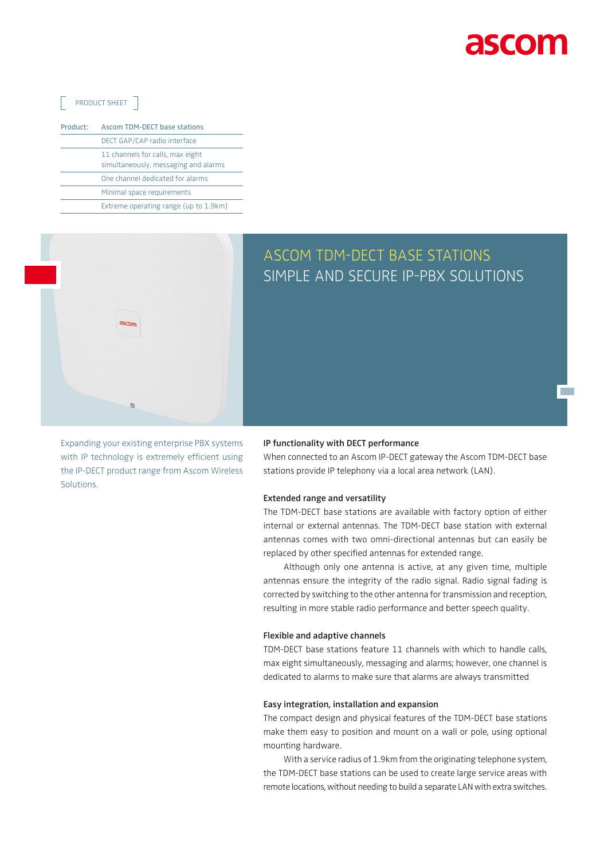

**Tara** 

### PRODUCT SHEET 7

| Product: | <b>Ascom TDM-DECT base stations</b>                                      |
|----------|--------------------------------------------------------------------------|
|          | DECT GAP/CAP radio interface                                             |
|          | 11 channels for calls, max eight<br>simultaneously, messaging and alarms |
|          | One channel dedicated for alarms                                         |
|          | Minimal space requirements                                               |
|          | Extreme operating range (up to 1.9km)                                    |



## ASCOM TDM-DECT BASE STATIONS SIMPLE AND SECURE IP-PBX SOLUTIONS

Expanding your existing enterprise PBX systems with IP technology is extremely efficient using the IP-DECT product range from Ascom Wireless Solutions.

#### **IP functionality with DECT performance**

When connected to an Ascom IP-DECT gateway the Ascom TDM-DECT base stations provide IP telephony via a local area network (LAN).

#### **Extended range and versatility**

The TDM-DECT base stations are available with factory option of either internal or external antennas. The TDM-DECT base station with external antennas comes with two omni-directional antennas but can easily be replaced by other specified antennas for extended range.

Although only one antenna is active, at any given time, multiple antennas ensure the integrity of the radio signal. Radio signal fading is corrected by switching to the other antenna for transmission and reception, resulting in more stable radio performance and better speech quality.

#### **Flexible and adaptive channels**

TDM-DECT base stations feature 11 channels with which to handle calls, max eight simultaneously, messaging and alarms; however, one channel is dedicated to alarms to make sure that alarms are always transmitted

#### **Easy integration, installation and expansion**

The compact design and physical features of the TDM-DECT base stations make them easy to position and mount on a wall or pole, using optional mounting hardware.

With a service radius of 1.9km from the originating telephone system, the TDM-DECT base stations can be used to create large service areas with remote locations, without needing to build a separate LAN with extra switches.